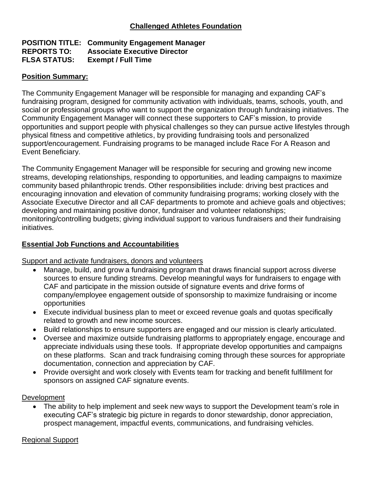### **POSITION TITLE: Community Engagement Manager REPORTS TO: Associate Executive Director FLSA STATUS: Exempt / Full Time**

## **Position Summary:**

The Community Engagement Manager will be responsible for managing and expanding CAF's fundraising program, designed for community activation with individuals, teams, schools, youth, and social or professional groups who want to support the organization through fundraising initiatives. The Community Engagement Manager will connect these supporters to CAF's mission, to provide opportunities and support people with physical challenges so they can pursue active lifestyles through physical fitness and competitive athletics, by providing fundraising tools and personalized support/encouragement. Fundraising programs to be managed include Race For A Reason and Event Beneficiary.

The Community Engagement Manager will be responsible for securing and growing new income streams, developing relationships, responding to opportunities, and leading campaigns to maximize community based philanthropic trends. Other responsibilities include: driving best practices and encouraging innovation and elevation of community fundraising programs; working closely with the Associate Executive Director and all CAF departments to promote and achieve goals and objectives; developing and maintaining positive donor, fundraiser and volunteer relationships; monitoring/controlling budgets; giving individual support to various fundraisers and their fundraising initiatives.

## **Essential Job Functions and Accountabilities**

## Support and activate fundraisers, donors and volunteers

- Manage, build, and grow a fundraising program that draws financial support across diverse sources to ensure funding streams. Develop meaningful ways for fundraisers to engage with CAF and participate in the mission outside of signature events and drive forms of company/employee engagement outside of sponsorship to maximize fundraising or income opportunities
- Execute individual business plan to meet or exceed revenue goals and quotas specifically related to growth and new income sources.
- Build relationships to ensure supporters are engaged and our mission is clearly articulated.
- Oversee and maximize outside fundraising platforms to appropriately engage, encourage and appreciate individuals using these tools. If appropriate develop opportunities and campaigns on these platforms. Scan and track fundraising coming through these sources for appropriate documentation, connection and appreciation by CAF.
- Provide oversight and work closely with Events team for tracking and benefit fulfillment for sponsors on assigned CAF signature events.

## **Development**

• The ability to help implement and seek new ways to support the Development team's role in executing CAF's strategic big picture in regards to donor stewardship, donor appreciation, prospect management, impactful events, communications, and fundraising vehicles.

### Regional Support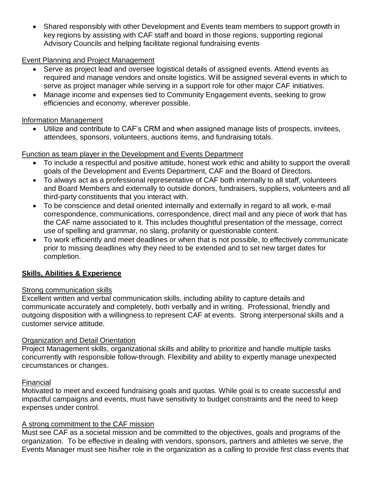• Shared responsibly with other Development and Events team members to support growth in key regions by assisting with CAF staff and board in those regions, supporting regional Advisory Councils and helping facilitate regional fundraising events

## Event Planning and Project Management

- Serve as project lead and oversee logistical details of assigned events. Attend events as required and manage vendors and onsite logistics. Will be assigned several events in which to serve as project manager while serving in a support role for other major CAF initiatives.
- Manage income and expenses tied to Community Engagement events, seeking to grow efficiencies and economy, wherever possible.

### Information Management

• Utilize and contribute to CAF's CRM and when assigned manage lists of prospects, invitees, attendees, sponsors, volunteers, auctions items, and fundraising totals.

### Function as team player in the Development and Events Department

- To include a respectful and positive attitude, honest work ethic and ability to support the overall goals of the Development and Events Department, CAF and the Board of Directors.
- To always act as a professional representative of CAF both internally to all staff, volunteers and Board Members and externally to outside donors, fundraisers, suppliers, volunteers and all third-party constituents that you interact with.
- To be conscience and detail oriented internally and externally in regard to all work, e-mail correspondence, communications, correspondence, direct mail and any piece of work that has the CAF name associated to it. This includes thoughtful presentation of the message, correct use of spelling and grammar, no slang, profanity or questionable content.
- To work efficiently and meet deadlines or when that is not possible, to effectively communicate prior to missing deadlines why they need to be extended and to set new target dates for completion.

# **Skills, Abilities & Experience**

## Strong communication skills

Excellent written and verbal communication skills, including ability to capture details and communicate accurately and completely, both verbally and in writing. Professional, friendly and outgoing disposition with a willingness to represent CAF at events. Strong interpersonal skills and a customer service attitude.

## Organization and Detail Orientation

Project Management skills, organizational skills and ability to prioritize and handle multiple tasks concurrently with responsible follow-through. Flexibility and ability to expertly manage unexpected circumstances or changes.

## **Financial**

Motivated to meet and exceed fundraising goals and quotas. While goal is to create successful and impactful campaigns and events, must have sensitivity to budget constraints and the need to keep expenses under control.

## A strong commitment to the CAF mission

Must see CAF as a societal mission and be committed to the objectives, goals and programs of the organization. To be effective in dealing with vendors, sponsors, partners and athletes we serve, the Events Manager must see his/her role in the organization as a calling to provide first class events that